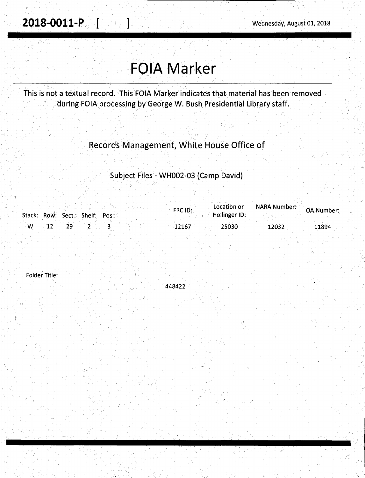## **FOIA Marker**

This is not a textual record. This FOIA Marker indicates that material has 'been removed during FOIA processing by George W. Bush Presidential Library staff.

## Records Management, White House Office of

Subject Files - WH002-03 (Camp David)

|   | Stack: Row: Sect.: Shelf: Pos.: | $\mathsf{FRCID:}$ | Location or<br>Hollinger ID: | of NARA Number: OA Number |       |
|---|---------------------------------|-------------------|------------------------------|---------------------------|-------|
| W |                                 | 12167             | 25030                        | 12032                     | 11894 |

Folder Title:

448422

L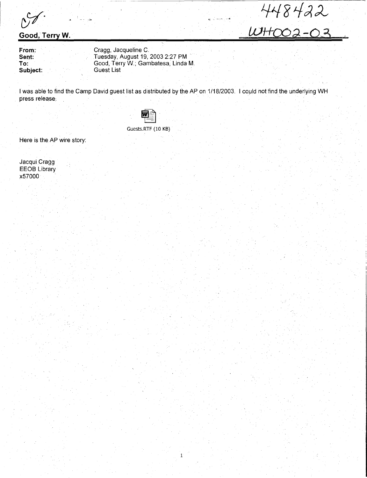## **Good, Terry W.**

**From: Sent: To: Subject:** 

Cragg, Jacqueline C. Tuesday, August 19, 2003 2:27 PM Good, Terry W.; Gambatesa, Linda M. **Guest List** 

I was able to find the Camp David guest list as distributed by the AP on 1/18/2003. I could not find the underlying WH press release:

1

 $TTOTOAC$ 

WH-00 2-03



Guests.RTF (10 KB)

Here is the AP wire story:

Jacqui Cragg EEOB Library x57000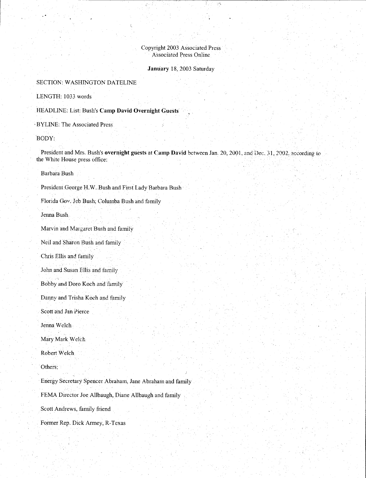Copyright 2003 Associated Press Associated Press Online

## **January** 18, 2003 Saturday

SECTION: WASHINGTON DATELINE

LENGTH: 1033 words

HEADLINE: List: Bush's **Camp David Overnight Guests** 

 $\zeta$ 

·BYLINE: The Associated Press

BODY:

President and Mrs. Bush's overnight guests at Camp David between Jan. 20, 2001, and Dec. 31, 2002, according to the White House press office:

Barbara Bush

President George H.W. Bush and First Lady Barbara Bush

Florida Gov. Jeb Bush; Colurnba Bush and family

Jenna Bush

Marvin and Margaret Bush and family

Neil and Sharon Bush and family

Chris Ellis and family

John and Susan Ellis and family

Bobby and Doro Koch and famjly

Danny and Trisha Koch and family

Scott and Jan Pierce

Jenna Welch

Mary Mark Welch

Robert Welch

Others:

Energy Secretary Spencer Abraham, Jane Abraham and family FEMA Director Joe Allbaugh, Diane Allbaugh and family

Scott Andrews, family friend

Fonner Rep. DickArmey, R-Texas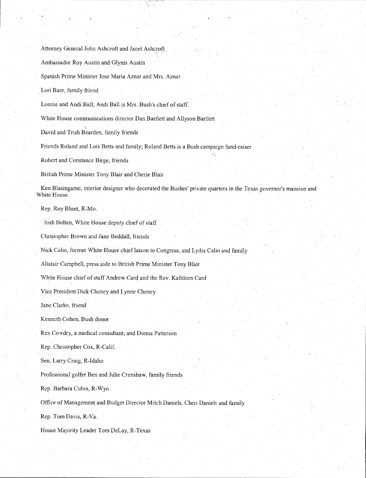Attorney General John Ashcroft and Janet Ashcroft

Ambassador Roy Austin and Glynis Austin

Spanish Prime Minister Jose Maria Aznar and Mrs. Aznar

\_Lori Baer, family friend

Lonnie and Andi Ball; Andi Ball is Mrs. Bush's chief of staff.

White House communications director Dan Bartlett and Allyson Bartlett

David and Trish Bearden, family friends

Friends Roland and Lois Betts and family; Roland Betts is a Bush campaign fund-raiser

Robert and Constance Birge, friends

British Prime Minister Tony Blair and Cherie Blair

Ken Blasingame, interior designer who decorated the Bushes' private quarters in the Texas governor's mansion and White House.

Rep. Roy Blunt, R-Mo.

Josh Bolten, White House deputy chief of staff

Christopher Brown and Jane Beddall, friends

Nick Calio, former White House chief laison to Congress, and Lydia Calio and family

Alistair Campbell, press aide to British Prime Minister Tony Blair

White House chief of staff Andrew Card and the Rev. Kathleen Card

Vice President Dick Cheney and Lynne Cheney

Jane Clarke. friend

Kenneth Cohen, Bush donor

Rex Cowdry, a medical consultant; and Donna Patterson

Rep. Christopher Cox, R-Calif.

Sen. Larry Craig, R-ldaho

Professional golfer Ben and Julie Crenshaw, family friends

R\:P· Barbara Cubin, R-Wyo.

Office of Management and Budget Director Mitch Daniels, Cheri Daniels and family

Rep. Tom Davis, R-Va.

House Majority Leader Tom DeLay, R-Texas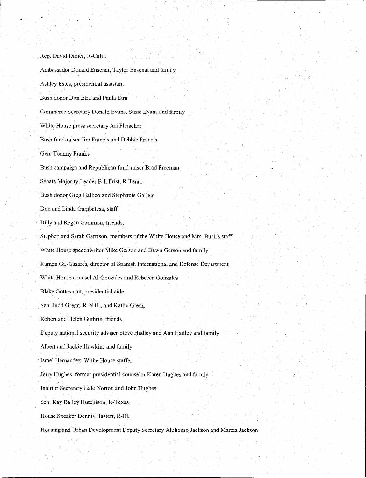Rep. David Dreier, R-Calif. Ambassador Donald Ensenat, Taylor Ensenat and family Ashley Estes, presidential assistant Bush donor Don Etra and Paula Etra Commerce Secretary Donald Evans, Susie Evans and family White House press secretary Ari Fleischer Bush fund-raiser Jim Francis and Debbie Francis Gen. Tommy Franks Bush campaign and Republican fund-raiser Brad Freeman Senate Majority Leader Bill Frist, R-Tenn. Bush donor Greg Gallico and Stephanie Gallico Don.and Linda Gambatesa, staff Billy and Regan Gammon, friends, Stephen and Sarah Garrison, members of the White House and Mrs. Bush's staff White House speechwriter Mike Gerson and Dawn Gerson and family Ramon Gil, Casares, director of Spanish International and Defense Department White House counsel Al Gonzales and Rebecca Gonzales Blake Gottesman, presidential aide Sen. Judd Gregg, R-N.H., and Kathy Gregg Robert and Helen Guthrie, friends Deputy national security adviser Steve Hadley and Ann Hadley and family Albert and Jackie Hawkins and family Israel Hernandez, White House staffer Jerry Hughes, former presidential counselor Karen Hughes and family Interior Secretary Gale Norton and John Hughes Sen. Kay Bailey Hutchison, R-Texas House Speaker Dennis Hastert, R-Ill. Housing and Urban Development Deputy Secretary Alphonso Jackson and Marcia Jackson,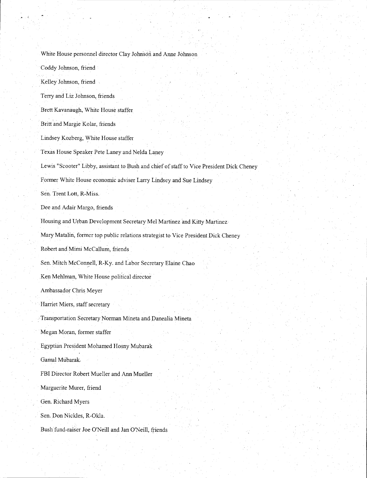White House personnel director Clay Johnson and Anne Johnson Coddy Johnson, friend Kelley Johnson, friend Terry and Liz Johnson, friends Brett Kavanaugh, White House staffer Britt and Margie Kolar, friends Lindsey Kozberg, White House staffer Texas House Speaker Pete Laney and Nelda Laney Lewis "Scooter" Libby, assistant to Bush and chief of sfaff to Vice President Dick Cheney Former White House economic adviser Larry Lindsey and Sue Lindsey Sen. Trent Lott, R-Miss. Dee and Adair Margo, friends Housing and Urban Development Secretary Mel Martinez and Kitty Martinez Mary Matalin, former top public relations strategist to Vice President Dick Cheney Robert and Mimi McCallum, friends Sen. Mitch McConnell, R-Ky. and Labor Secretary Elaine Chao .Ken Mehlman, White House political director Ambassador Chris Meyer Harriet Miers, staff secretary Transportation Secretary Norman Mineta and Danealia Mineta Megan Moran, former staffer Egyptian President Mohamed Hosny Mubarak Garnal Mubarak. FBI Director Robert Mueller and Ann Mueller Marguerite Murer, friend Gen. Richard Myers Sen. Don Nickles, R-Okla. Bush fund-raiser Joe O'Neill and Jan O'Neill, friends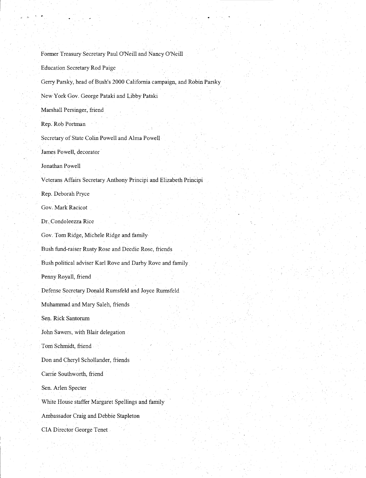Former Treasury Secretary Paul O'Neill and Nancy O'Neill Education Secretary Rod Paige Gerry Parsky, head of Bush's 2000 California campaign, and Robin Parsky New York Gov. George Pataki and Libby Pataki Marshall Persinger, friend Rep. Rob Portman Secretary of State Colin Powell and Alma Powell James Powell, decorator Jonathan Powell Veterans Affairs Secretary Anthony Principi and Elizabeth Principi Rep. Deborah Pryce Gov, Mark Racicot Dr. Condoleezza Rice Gov. Tom Ridge, Michele Ridge and family Bush fund-raiser Rusty Rose and Deedie Rose, friends Bush political adviser Karl Rove and Darby Rove and family Penny Royall, friend Defense Secretary Donald Rumsfeld and Joyce Rumsfeld Muhammad and Mary Saleh, friends Sen. Rick Santorum John Sawers, with Blair delegation Tom Schmidt, friend Don and Cheryl Schollander, friends Carrie Southworth, friend Sen. Arlen Specter White House staffer Margaret Spellings and family Ambassador Craig and Debbie Stapleton CIA Director George Tenet